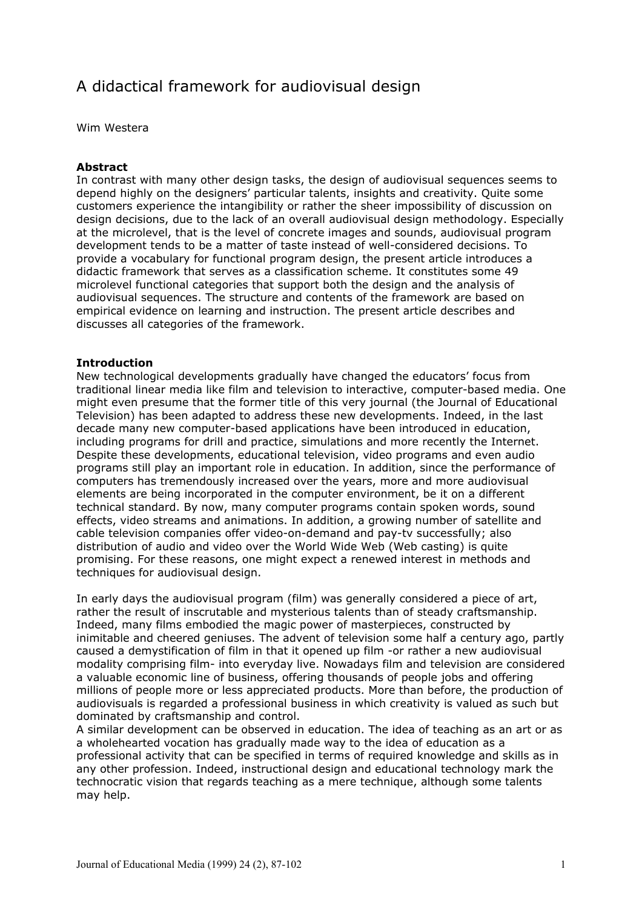# A didactical framework for audiovisual design

Wim Westera

### **Abstract**

In contrast with many other design tasks, the design of audiovisual sequences seems to depend highly on the designers' particular talents, insights and creativity. Quite some customers experience the intangibility or rather the sheer impossibility of discussion on design decisions, due to the lack of an overall audiovisual design methodology. Especially at the microlevel, that is the level of concrete images and sounds, audiovisual program development tends to be a matter of taste instead of well-considered decisions. To provide a vocabulary for functional program design, the present article introduces a didactic framework that serves as a classification scheme. It constitutes some 49 microlevel functional categories that support both the design and the analysis of audiovisual sequences. The structure and contents of the framework are based on empirical evidence on learning and instruction. The present article describes and discusses all categories of the framework.

### **Introduction**

New technological developments gradually have changed the educators' focus from traditional linear media like film and television to interactive, computer-based media. One might even presume that the former title of this very journal (the Journal of Educational Television) has been adapted to address these new developments. Indeed, in the last decade many new computer-based applications have been introduced in education, including programs for drill and practice, simulations and more recently the Internet. Despite these developments, educational television, video programs and even audio programs still play an important role in education. In addition, since the performance of computers has tremendously increased over the years, more and more audiovisual elements are being incorporated in the computer environment, be it on a different technical standard. By now, many computer programs contain spoken words, sound effects, video streams and animations. In addition, a growing number of satellite and cable television companies offer video-on-demand and pay-tv successfully; also distribution of audio and video over the World Wide Web (Web casting) is quite promising. For these reasons, one might expect a renewed interest in methods and techniques for audiovisual design.

In early days the audiovisual program (film) was generally considered a piece of art, rather the result of inscrutable and mysterious talents than of steady craftsmanship. Indeed, many films embodied the magic power of masterpieces, constructed by inimitable and cheered geniuses. The advent of television some half a century ago, partly caused a demystification of film in that it opened up film -or rather a new audiovisual modality comprising film- into everyday live. Nowadays film and television are considered a valuable economic line of business, offering thousands of people jobs and offering millions of people more or less appreciated products. More than before, the production of audiovisuals is regarded a professional business in which creativity is valued as such but dominated by craftsmanship and control.

A similar development can be observed in education. The idea of teaching as an art or as a wholehearted vocation has gradually made way to the idea of education as a professional activity that can be specified in terms of required knowledge and skills as in any other profession. Indeed, instructional design and educational technology mark the technocratic vision that regards teaching as a mere technique, although some talents may help.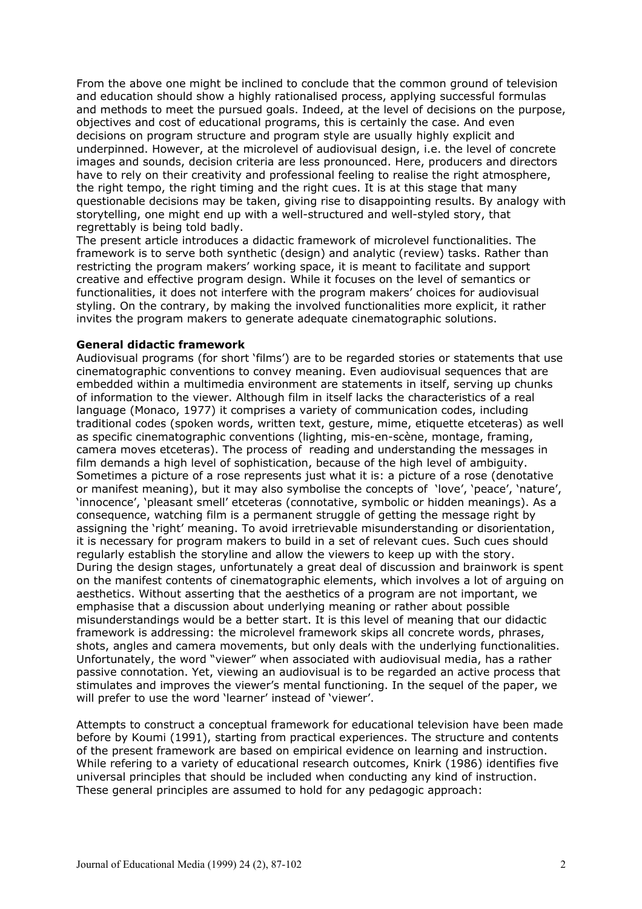From the above one might be inclined to conclude that the common ground of television and education should show a highly rationalised process, applying successful formulas and methods to meet the pursued goals. Indeed, at the level of decisions on the purpose, objectives and cost of educational programs, this is certainly the case. And even decisions on program structure and program style are usually highly explicit and underpinned. However, at the microlevel of audiovisual design, i.e. the level of concrete images and sounds, decision criteria are less pronounced. Here, producers and directors have to rely on their creativity and professional feeling to realise the right atmosphere, the right tempo, the right timing and the right cues. It is at this stage that many questionable decisions may be taken, giving rise to disappointing results. By analogy with storytelling, one might end up with a well-structured and well-styled story, that regrettably is being told badly.

The present article introduces a didactic framework of microlevel functionalities. The framework is to serve both synthetic (design) and analytic (review) tasks. Rather than restricting the program makers' working space, it is meant to facilitate and support creative and effective program design. While it focuses on the level of semantics or functionalities, it does not interfere with the program makers' choices for audiovisual styling. On the contrary, by making the involved functionalities more explicit, it rather invites the program makers to generate adequate cinematographic solutions.

### **General didactic framework**

Audiovisual programs (for short 'films') are to be regarded stories or statements that use cinematographic conventions to convey meaning. Even audiovisual sequences that are embedded within a multimedia environment are statements in itself, serving up chunks of information to the viewer. Although film in itself lacks the characteristics of a real language (Monaco, 1977) it comprises a variety of communication codes, including traditional codes (spoken words, written text, gesture, mime, etiquette etceteras) as well as specific cinematographic conventions (lighting, mis-en-scène, montage, framing, camera moves etceteras). The process of reading and understanding the messages in film demands a high level of sophistication, because of the high level of ambiguity. Sometimes a picture of a rose represents just what it is: a picture of a rose (denotative or manifest meaning), but it may also symbolise the concepts of 'love', 'peace', 'nature', 'innocence', 'pleasant smell' etceteras (connotative, symbolic or hidden meanings). As a consequence, watching film is a permanent struggle of getting the message right by assigning the 'right' meaning. To avoid irretrievable misunderstanding or disorientation, it is necessary for program makers to build in a set of relevant cues. Such cues should regularly establish the storyline and allow the viewers to keep up with the story. During the design stages, unfortunately a great deal of discussion and brainwork is spent on the manifest contents of cinematographic elements, which involves a lot of arguing on aesthetics. Without asserting that the aesthetics of a program are not important, we emphasise that a discussion about underlying meaning or rather about possible misunderstandings would be a better start. It is this level of meaning that our didactic framework is addressing: the microlevel framework skips all concrete words, phrases, shots, angles and camera movements, but only deals with the underlying functionalities. Unfortunately, the word "viewer" when associated with audiovisual media, has a rather passive connotation. Yet, viewing an audiovisual is to be regarded an active process that stimulates and improves the viewer's mental functioning. In the sequel of the paper, we will prefer to use the word 'learner' instead of 'viewer'.

Attempts to construct a conceptual framework for educational television have been made before by Koumi (1991), starting from practical experiences. The structure and contents of the present framework are based on empirical evidence on learning and instruction. While refering to a variety of educational research outcomes, Knirk (1986) identifies five universal principles that should be included when conducting any kind of instruction. These general principles are assumed to hold for any pedagogic approach: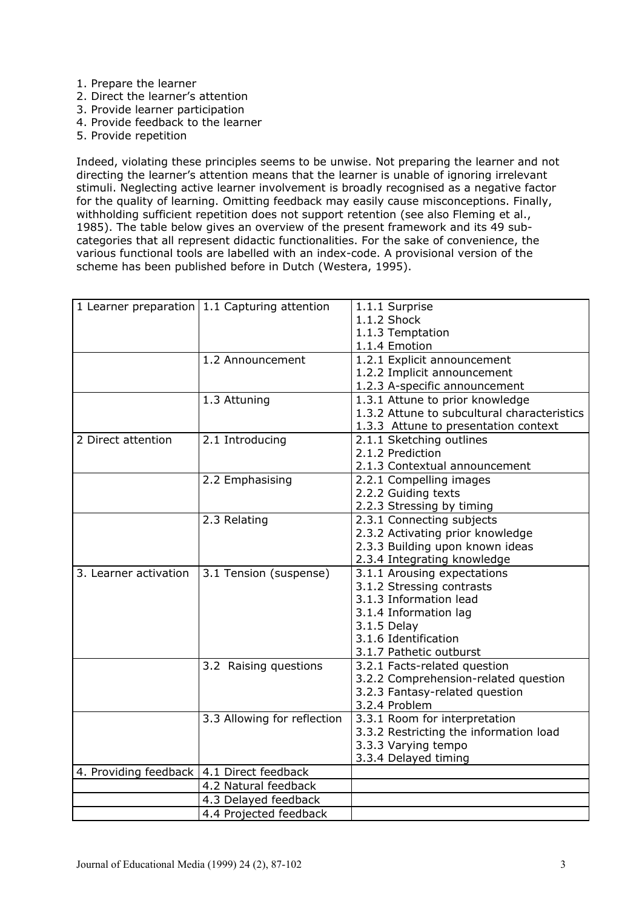- 1. Prepare the learner
- 2. Direct the learner's attention
- 3. Provide learner participation
- 4. Provide feedback to the learner
- 5. Provide repetition

Indeed, violating these principles seems to be unwise. Not preparing the learner and not directing the learner's attention means that the learner is unable of ignoring irrelevant stimuli. Neglecting active learner involvement is broadly recognised as a negative factor for the quality of learning. Omitting feedback may easily cause misconceptions. Finally, withholding sufficient repetition does not support retention (see also Fleming et al., 1985). The table below gives an overview of the present framework and its 49 subcategories that all represent didactic functionalities. For the sake of convenience, the various functional tools are labelled with an index-code. A provisional version of the scheme has been published before in Dutch (Westera, 1995).

|                                             | 1 Learner preparation 1.1 Capturing attention | 1.1.1 Surprise                              |
|---------------------------------------------|-----------------------------------------------|---------------------------------------------|
|                                             |                                               | 1.1.2 Shock                                 |
|                                             |                                               | 1.1.3 Temptation                            |
|                                             |                                               | 1.1.4 Emotion                               |
|                                             | 1.2 Announcement                              | 1.2.1 Explicit announcement                 |
|                                             |                                               | 1.2.2 Implicit announcement                 |
|                                             |                                               | 1.2.3 A-specific announcement               |
|                                             | 1.3 Attuning                                  | 1.3.1 Attune to prior knowledge             |
|                                             |                                               | 1.3.2 Attune to subcultural characteristics |
|                                             |                                               | 1.3.3 Attune to presentation context        |
| 2 Direct attention                          | 2.1 Introducing                               | 2.1.1 Sketching outlines                    |
|                                             |                                               | 2.1.2 Prediction                            |
|                                             |                                               | 2.1.3 Contextual announcement               |
|                                             | 2.2 Emphasising                               | 2.2.1 Compelling images                     |
|                                             |                                               | 2.2.2 Guiding texts                         |
|                                             |                                               | 2.2.3 Stressing by timing                   |
|                                             | 2.3 Relating                                  | 2.3.1 Connecting subjects                   |
|                                             |                                               | 2.3.2 Activating prior knowledge            |
|                                             |                                               | 2.3.3 Building upon known ideas             |
|                                             |                                               | 2.3.4 Integrating knowledge                 |
| 3. Learner activation                       | 3.1 Tension (suspense)                        | 3.1.1 Arousing expectations                 |
|                                             |                                               | 3.1.2 Stressing contrasts                   |
|                                             |                                               | 3.1.3 Information lead                      |
|                                             |                                               | 3.1.4 Information lag                       |
|                                             |                                               | 3.1.5 Delay                                 |
|                                             |                                               | 3.1.6 Identification                        |
|                                             |                                               | 3.1.7 Pathetic outburst                     |
|                                             | 3.2 Raising questions                         | 3.2.1 Facts-related question                |
|                                             |                                               | 3.2.2 Comprehension-related question        |
|                                             |                                               | 3.2.3 Fantasy-related question              |
|                                             |                                               | 3.2.4 Problem                               |
|                                             | 3.3 Allowing for reflection                   | 3.3.1 Room for interpretation               |
|                                             |                                               | 3.3.2 Restricting the information load      |
|                                             |                                               | 3.3.3 Varying tempo                         |
|                                             |                                               | 3.3.4 Delayed timing                        |
| 4. Providing feedback   4.1 Direct feedback |                                               |                                             |
|                                             | 4.2 Natural feedback                          |                                             |
|                                             | 4.3 Delayed feedback                          |                                             |
|                                             | 4.4 Projected feedback                        |                                             |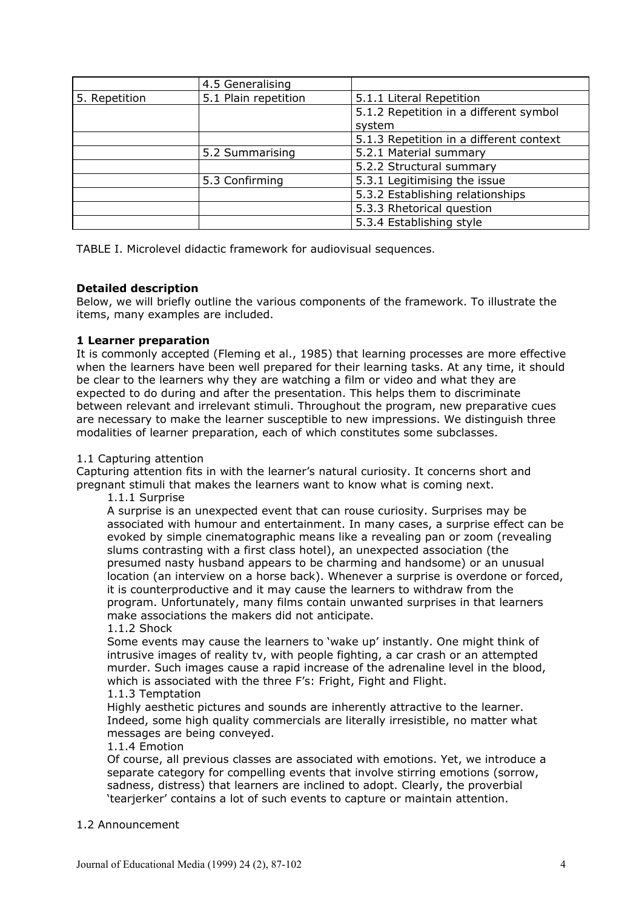|               | 4.5 Generalising     |                                         |
|---------------|----------------------|-----------------------------------------|
| 5. Repetition | 5.1 Plain repetition | 5.1.1 Literal Repetition                |
|               |                      | 5.1.2 Repetition in a different symbol  |
|               |                      | system                                  |
|               |                      | 5.1.3 Repetition in a different context |
|               | 5.2 Summarising      | 5.2.1 Material summary                  |
|               |                      | 5.2.2 Structural summary                |
|               | 5.3 Confirming       | 5.3.1 Legitimising the issue            |
|               |                      | 5.3.2 Establishing relationships        |
|               |                      | 5.3.3 Rhetorical question               |
|               |                      | 5.3.4 Establishing style                |

TABLE I. Microlevel didactic framework for audiovisual sequences.

# **Detailed description**

Below, we will briefly outline the various components of the framework. To illustrate the items, many examples are included.

# **1 Learner preparation**

It is commonly accepted (Fleming et al., 1985) that learning processes are more effective when the learners have been well prepared for their learning tasks. At any time, it should be clear to the learners why they are watching a film or video and what they are expected to do during and after the presentation. This helps them to discriminate between relevant and irrelevant stimuli. Throughout the program, new preparative cues are necessary to make the learner susceptible to new impressions. We distinguish three modalities of learner preparation, each of which constitutes some subclasses.

# 1.1 Capturing attention

Capturing attention fits in with the learner's natural curiosity. It concerns short and pregnant stimuli that makes the learners want to know what is coming next.

1.1.1 Surprise

A surprise is an unexpected event that can rouse curiosity. Surprises may be associated with humour and entertainment. In many cases, a surprise effect can be evoked by simple cinematographic means like a revealing pan or zoom (revealing slums contrasting with a first class hotel), an unexpected association (the presumed nasty husband appears to be charming and handsome) or an unusual location (an interview on a horse back). Whenever a surprise is overdone or forced, it is counterproductive and it may cause the learners to withdraw from the program. Unfortunately, many films contain unwanted surprises in that learners make associations the makers did not anticipate.

# 1.1.2 Shock

Some events may cause the learners to 'wake up' instantly. One might think of intrusive images of reality tv, with people fighting, a car crash or an attempted murder. Such images cause a rapid increase of the adrenaline level in the blood, which is associated with the three F's: Fright, Fight and Flight.

# 1.1.3 Temptation

Highly aesthetic pictures and sounds are inherently attractive to the learner. Indeed, some high quality commercials are literally irresistible, no matter what messages are being conveyed.

# 1.1.4 Emotion

Of course, all previous classes are associated with emotions. Yet, we introduce a separate category for compelling events that involve stirring emotions (sorrow, sadness, distress) that learners are inclined to adopt. Clearly, the proverbial 'tearjerker' contains a lot of such events to capture or maintain attention.

# 1.2 Announcement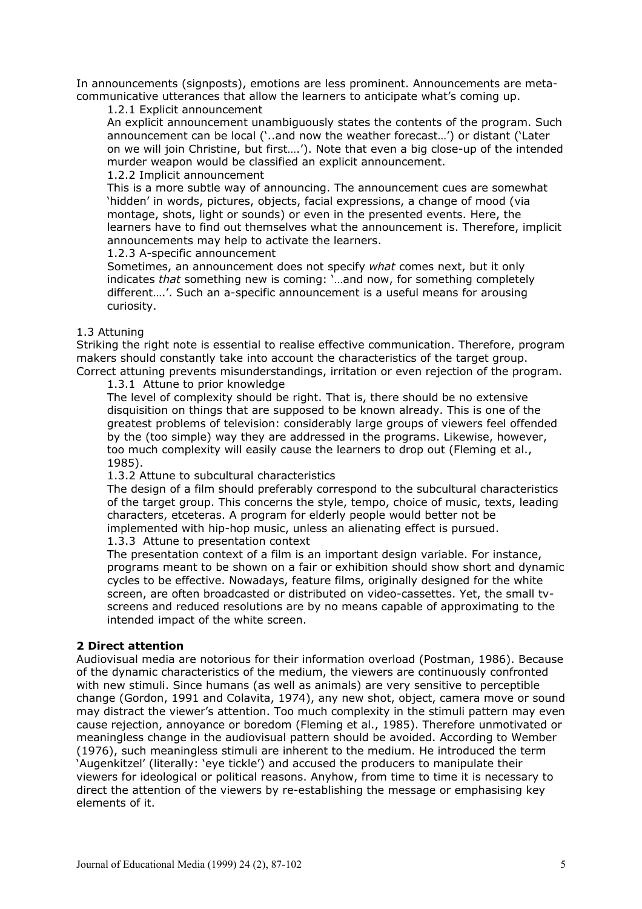In announcements (signposts), emotions are less prominent. Announcements are metacommunicative utterances that allow the learners to anticipate what's coming up.

1.2.1 Explicit announcement

An explicit announcement unambiguously states the contents of the program. Such announcement can be local ('..and now the weather forecast…') or distant ('Later on we will join Christine, but first….'). Note that even a big close-up of the intended murder weapon would be classified an explicit announcement.

# 1.2.2 Implicit announcement

This is a more subtle way of announcing. The announcement cues are somewhat 'hidden' in words, pictures, objects, facial expressions, a change of mood (via montage, shots, light or sounds) or even in the presented events. Here, the learners have to find out themselves what the announcement is. Therefore, implicit announcements may help to activate the learners.

1.2.3 A-specific announcement

Sometimes, an announcement does not specify *what* comes next, but it only indicates *that* something new is coming: '…and now, for something completely different….'. Such an a-specific announcement is a useful means for arousing curiosity.

# 1.3 Attuning

Striking the right note is essential to realise effective communication. Therefore, program makers should constantly take into account the characteristics of the target group. Correct attuning prevents misunderstandings, irritation or even rejection of the program.

1.3.1 Attune to prior knowledge

The level of complexity should be right. That is, there should be no extensive disquisition on things that are supposed to be known already. This is one of the greatest problems of television: considerably large groups of viewers feel offended by the (too simple) way they are addressed in the programs. Likewise, however, too much complexity will easily cause the learners to drop out (Fleming et al., 1985).

# 1.3.2 Attune to subcultural characteristics

The design of a film should preferably correspond to the subcultural characteristics of the target group. This concerns the style, tempo, choice of music, texts, leading characters, etceteras. A program for elderly people would better not be implemented with hip-hop music, unless an alienating effect is pursued.

### 1.3.3 Attune to presentation context

The presentation context of a film is an important design variable. For instance, programs meant to be shown on a fair or exhibition should show short and dynamic cycles to be effective. Nowadays, feature films, originally designed for the white screen, are often broadcasted or distributed on video-cassettes. Yet, the small tvscreens and reduced resolutions are by no means capable of approximating to the intended impact of the white screen.

# **2 Direct attention**

Audiovisual media are notorious for their information overload (Postman, 1986). Because of the dynamic characteristics of the medium, the viewers are continuously confronted with new stimuli. Since humans (as well as animals) are very sensitive to perceptible change (Gordon, 1991 and Colavita, 1974), any new shot, object, camera move or sound may distract the viewer's attention. Too much complexity in the stimuli pattern may even cause rejection, annoyance or boredom (Fleming et al., 1985). Therefore unmotivated or meaningless change in the audiovisual pattern should be avoided. According to Wember (1976), such meaningless stimuli are inherent to the medium. He introduced the term 'Augenkitzel' (literally: 'eye tickle') and accused the producers to manipulate their viewers for ideological or political reasons. Anyhow, from time to time it is necessary to direct the attention of the viewers by re-establishing the message or emphasising key elements of it.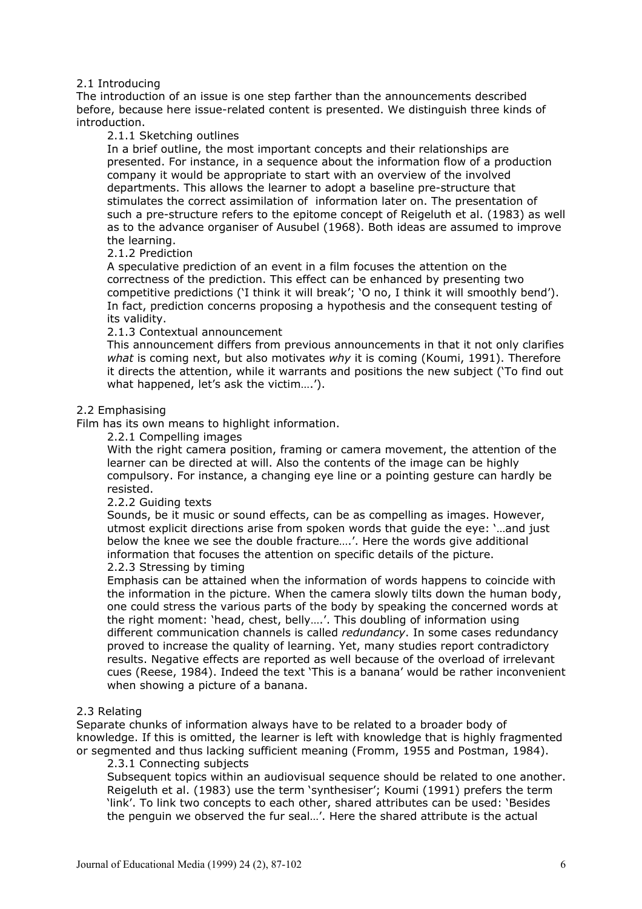# 2.1 Introducing

The introduction of an issue is one step farther than the announcements described before, because here issue-related content is presented. We distinguish three kinds of introduction.

# 2.1.1 Sketching outlines

In a brief outline, the most important concepts and their relationships are presented. For instance, in a sequence about the information flow of a production company it would be appropriate to start with an overview of the involved departments. This allows the learner to adopt a baseline pre-structure that stimulates the correct assimilation of information later on. The presentation of such a pre-structure refers to the epitome concept of Reigeluth et al. (1983) as well as to the advance organiser of Ausubel (1968). Both ideas are assumed to improve the learning.

# 2.1.2 Prediction

A speculative prediction of an event in a film focuses the attention on the correctness of the prediction. This effect can be enhanced by presenting two competitive predictions ('I think it will break'; 'O no, I think it will smoothly bend'). In fact, prediction concerns proposing a hypothesis and the consequent testing of its validity.

# 2.1.3 Contextual announcement

This announcement differs from previous announcements in that it not only clarifies *what* is coming next, but also motivates *why* it is coming (Koumi, 1991). Therefore it directs the attention, while it warrants and positions the new subject ('To find out what happened, let's ask the victim….').

# 2.2 Emphasising

Film has its own means to highlight information.

2.2.1 Compelling images

With the right camera position, framing or camera movement, the attention of the learner can be directed at will. Also the contents of the image can be highly compulsory. For instance, a changing eye line or a pointing gesture can hardly be resisted.

# 2.2.2 Guiding texts

Sounds, be it music or sound effects, can be as compelling as images. However, utmost explicit directions arise from spoken words that guide the eye: '…and just below the knee we see the double fracture….'. Here the words give additional information that focuses the attention on specific details of the picture. 2.2.3 Stressing by timing

Emphasis can be attained when the information of words happens to coincide with the information in the picture. When the camera slowly tilts down the human body, one could stress the various parts of the body by speaking the concerned words at the right moment: 'head, chest, belly….'. This doubling of information using different communication channels is called *redundancy*. In some cases redundancy proved to increase the quality of learning. Yet, many studies report contradictory results. Negative effects are reported as well because of the overload of irrelevant cues (Reese, 1984). Indeed the text 'This is a banana' would be rather inconvenient when showing a picture of a banana.

# 2.3 Relating

Separate chunks of information always have to be related to a broader body of knowledge. If this is omitted, the learner is left with knowledge that is highly fragmented or segmented and thus lacking sufficient meaning (Fromm, 1955 and Postman, 1984).

# 2.3.1 Connecting subjects

Subsequent topics within an audiovisual sequence should be related to one another. Reigeluth et al. (1983) use the term 'synthesiser'; Koumi (1991) prefers the term 'link'. To link two concepts to each other, shared attributes can be used: 'Besides the penguin we observed the fur seal…'. Here the shared attribute is the actual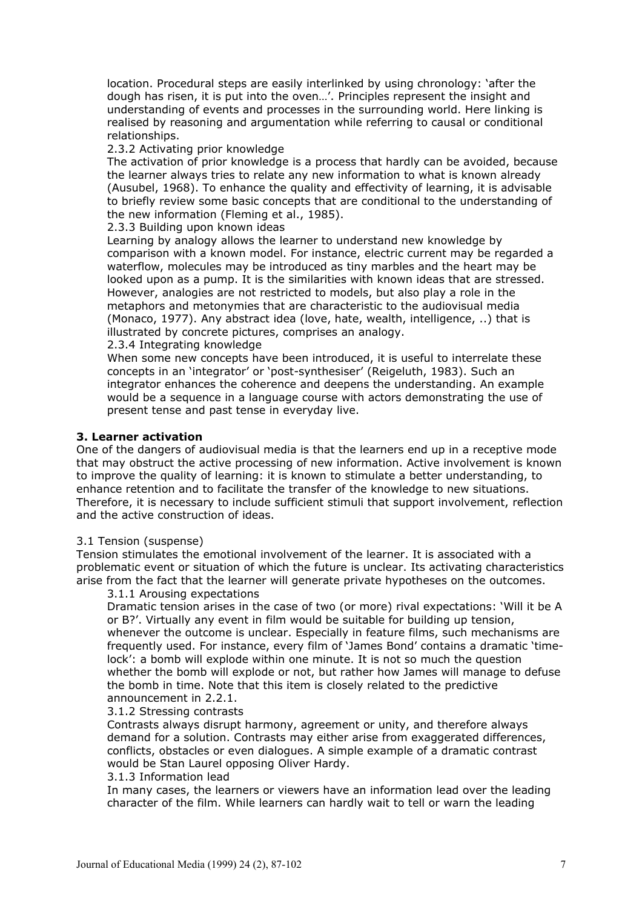location. Procedural steps are easily interlinked by using chronology: 'after the dough has risen, it is put into the oven…'. Principles represent the insight and understanding of events and processes in the surrounding world. Here linking is realised by reasoning and argumentation while referring to causal or conditional relationships.

### 2.3.2 Activating prior knowledge

The activation of prior knowledge is a process that hardly can be avoided, because the learner always tries to relate any new information to what is known already (Ausubel, 1968). To enhance the quality and effectivity of learning, it is advisable to briefly review some basic concepts that are conditional to the understanding of the new information (Fleming et al., 1985).

2.3.3 Building upon known ideas

Learning by analogy allows the learner to understand new knowledge by comparison with a known model. For instance, electric current may be regarded a waterflow, molecules may be introduced as tiny marbles and the heart may be looked upon as a pump. It is the similarities with known ideas that are stressed. However, analogies are not restricted to models, but also play a role in the metaphors and metonymies that are characteristic to the audiovisual media (Monaco, 1977). Any abstract idea (love, hate, wealth, intelligence, ..) that is illustrated by concrete pictures, comprises an analogy.

2.3.4 Integrating knowledge

When some new concepts have been introduced, it is useful to interrelate these concepts in an 'integrator' or 'post-synthesiser' (Reigeluth, 1983). Such an integrator enhances the coherence and deepens the understanding. An example would be a sequence in a language course with actors demonstrating the use of present tense and past tense in everyday live.

### **3. Learner activation**

One of the dangers of audiovisual media is that the learners end up in a receptive mode that may obstruct the active processing of new information. Active involvement is known to improve the quality of learning: it is known to stimulate a better understanding, to enhance retention and to facilitate the transfer of the knowledge to new situations. Therefore, it is necessary to include sufficient stimuli that support involvement, reflection and the active construction of ideas.

#### 3.1 Tension (suspense)

Tension stimulates the emotional involvement of the learner. It is associated with a problematic event or situation of which the future is unclear. Its activating characteristics arise from the fact that the learner will generate private hypotheses on the outcomes.

3.1.1 Arousing expectations

Dramatic tension arises in the case of two (or more) rival expectations: 'Will it be A or B?'. Virtually any event in film would be suitable for building up tension, whenever the outcome is unclear. Especially in feature films, such mechanisms are frequently used. For instance, every film of 'James Bond' contains a dramatic 'timelock': a bomb will explode within one minute. It is not so much the question whether the bomb will explode or not, but rather how James will manage to defuse the bomb in time. Note that this item is closely related to the predictive announcement in 2.2.1.

### 3.1.2 Stressing contrasts

Contrasts always disrupt harmony, agreement or unity, and therefore always demand for a solution. Contrasts may either arise from exaggerated differences, conflicts, obstacles or even dialogues. A simple example of a dramatic contrast would be Stan Laurel opposing Oliver Hardy.

#### 3.1.3 Information lead

In many cases, the learners or viewers have an information lead over the leading character of the film. While learners can hardly wait to tell or warn the leading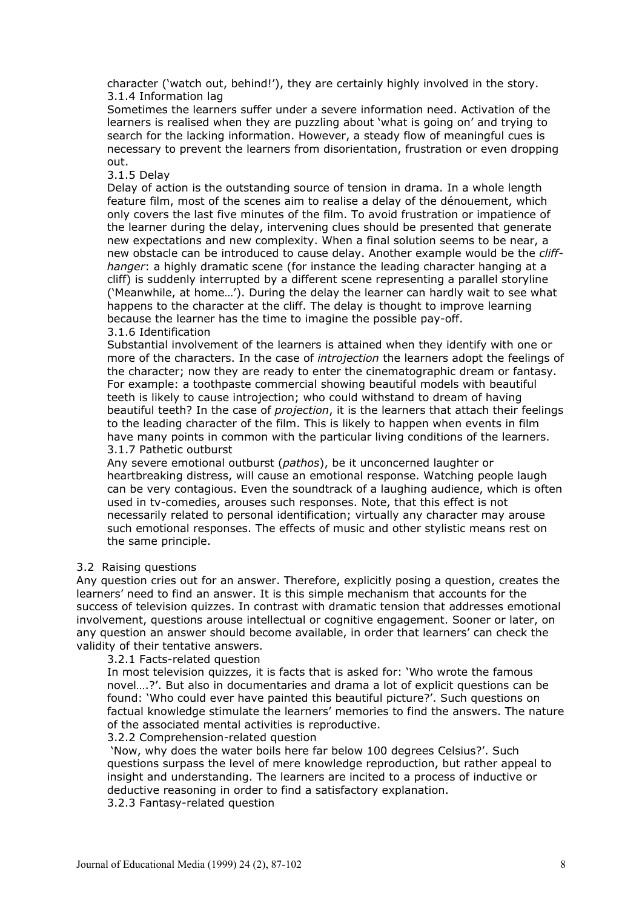character ('watch out, behind!'), they are certainly highly involved in the story. 3.1.4 Information lag

Sometimes the learners suffer under a severe information need. Activation of the learners is realised when they are puzzling about 'what is going on' and trying to search for the lacking information. However, a steady flow of meaningful cues is necessary to prevent the learners from disorientation, frustration or even dropping out.

### 3.1.5 Delay

Delay of action is the outstanding source of tension in drama. In a whole length feature film, most of the scenes aim to realise a delay of the dénouement, which only covers the last five minutes of the film. To avoid frustration or impatience of the learner during the delay, intervening clues should be presented that generate new expectations and new complexity. When a final solution seems to be near, a new obstacle can be introduced to cause delay. Another example would be the *cliffhanger*: a highly dramatic scene (for instance the leading character hanging at a cliff) is suddenly interrupted by a different scene representing a parallel storyline ('Meanwhile, at home…'). During the delay the learner can hardly wait to see what happens to the character at the cliff. The delay is thought to improve learning because the learner has the time to imagine the possible pay-off. 3.1.6 Identification

Substantial involvement of the learners is attained when they identify with one or more of the characters. In the case of *introjection* the learners adopt the feelings of the character; now they are ready to enter the cinematographic dream or fantasy. For example: a toothpaste commercial showing beautiful models with beautiful teeth is likely to cause introjection; who could withstand to dream of having beautiful teeth? In the case of *projection*, it is the learners that attach their feelings to the leading character of the film. This is likely to happen when events in film have many points in common with the particular living conditions of the learners. 3.1.7 Pathetic outburst

Any severe emotional outburst (*pathos*), be it unconcerned laughter or heartbreaking distress, will cause an emotional response. Watching people laugh can be very contagious. Even the soundtrack of a laughing audience, which is often used in tv-comedies, arouses such responses. Note, that this effect is not necessarily related to personal identification; virtually any character may arouse such emotional responses. The effects of music and other stylistic means rest on the same principle.

#### 3.2 Raising questions

Any question cries out for an answer. Therefore, explicitly posing a question, creates the learners' need to find an answer. It is this simple mechanism that accounts for the success of television quizzes. In contrast with dramatic tension that addresses emotional involvement, questions arouse intellectual or cognitive engagement. Sooner or later, on any question an answer should become available, in order that learners' can check the validity of their tentative answers.

3.2.1 Facts-related question

In most television quizzes, it is facts that is asked for: 'Who wrote the famous novel….?'. But also in documentaries and drama a lot of explicit questions can be found: 'Who could ever have painted this beautiful picture?'. Such questions on factual knowledge stimulate the learners' memories to find the answers. The nature of the associated mental activities is reproductive.

# 3.2.2 Comprehension-related question

 'Now, why does the water boils here far below 100 degrees Celsius?'. Such questions surpass the level of mere knowledge reproduction, but rather appeal to insight and understanding. The learners are incited to a process of inductive or deductive reasoning in order to find a satisfactory explanation.

3.2.3 Fantasy-related question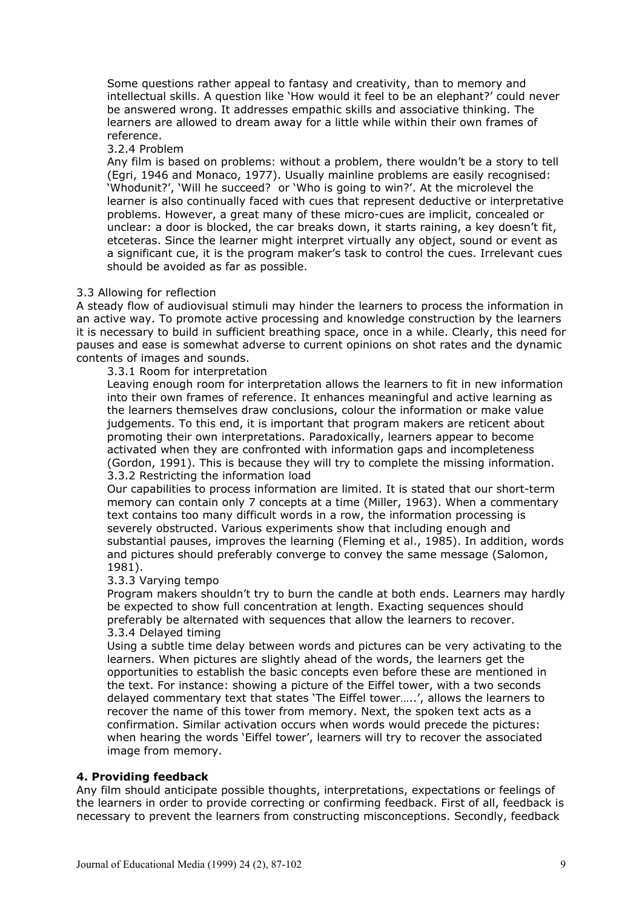Some questions rather appeal to fantasy and creativity, than to memory and intellectual skills. A question like 'How would it feel to be an elephant?' could never be answered wrong. It addresses empathic skills and associative thinking. The learners are allowed to dream away for a little while within their own frames of reference.

3.2.4 Problem

Any film is based on problems: without a problem, there wouldn't be a story to tell (Egri, 1946 and Monaco, 1977). Usually mainline problems are easily recognised: 'Whodunit?', 'Will he succeed? or 'Who is going to win?'. At the microlevel the learner is also continually faced with cues that represent deductive or interpretative problems. However, a great many of these micro-cues are implicit, concealed or unclear: a door is blocked, the car breaks down, it starts raining, a key doesn't fit, etceteras. Since the learner might interpret virtually any object, sound or event as a significant cue, it is the program maker's task to control the cues. Irrelevant cues should be avoided as far as possible.

### 3.3 Allowing for reflection

A steady flow of audiovisual stimuli may hinder the learners to process the information in an active way. To promote active processing and knowledge construction by the learners it is necessary to build in sufficient breathing space, once in a while. Clearly, this need for pauses and ease is somewhat adverse to current opinions on shot rates and the dynamic contents of images and sounds.

3.3.1 Room for interpretation

Leaving enough room for interpretation allows the learners to fit in new information into their own frames of reference. It enhances meaningful and active learning as the learners themselves draw conclusions, colour the information or make value judgements. To this end, it is important that program makers are reticent about promoting their own interpretations. Paradoxically, learners appear to become activated when they are confronted with information gaps and incompleteness (Gordon, 1991). This is because they will try to complete the missing information. 3.3.2 Restricting the information load

Our capabilities to process information are limited. It is stated that our short-term memory can contain only 7 concepts at a time (Miller, 1963). When a commentary text contains too many difficult words in a row, the information processing is severely obstructed. Various experiments show that including enough and substantial pauses, improves the learning (Fleming et al., 1985). In addition, words and pictures should preferably converge to convey the same message (Salomon, 1981).

#### 3.3.3 Varying tempo

Program makers shouldn't try to burn the candle at both ends. Learners may hardly be expected to show full concentration at length. Exacting sequences should preferably be alternated with sequences that allow the learners to recover. 3.3.4 Delayed timing

Using a subtle time delay between words and pictures can be very activating to the learners. When pictures are slightly ahead of the words, the learners get the opportunities to establish the basic concepts even before these are mentioned in the text. For instance: showing a picture of the Eiffel tower, with a two seconds delayed commentary text that states 'The Eiffel tower…..', allows the learners to recover the name of this tower from memory. Next, the spoken text acts as a confirmation. Similar activation occurs when words would precede the pictures: when hearing the words 'Eiffel tower', learners will try to recover the associated image from memory.

# **4. Providing feedback**

Any film should anticipate possible thoughts, interpretations, expectations or feelings of the learners in order to provide correcting or confirming feedback. First of all, feedback is necessary to prevent the learners from constructing misconceptions. Secondly, feedback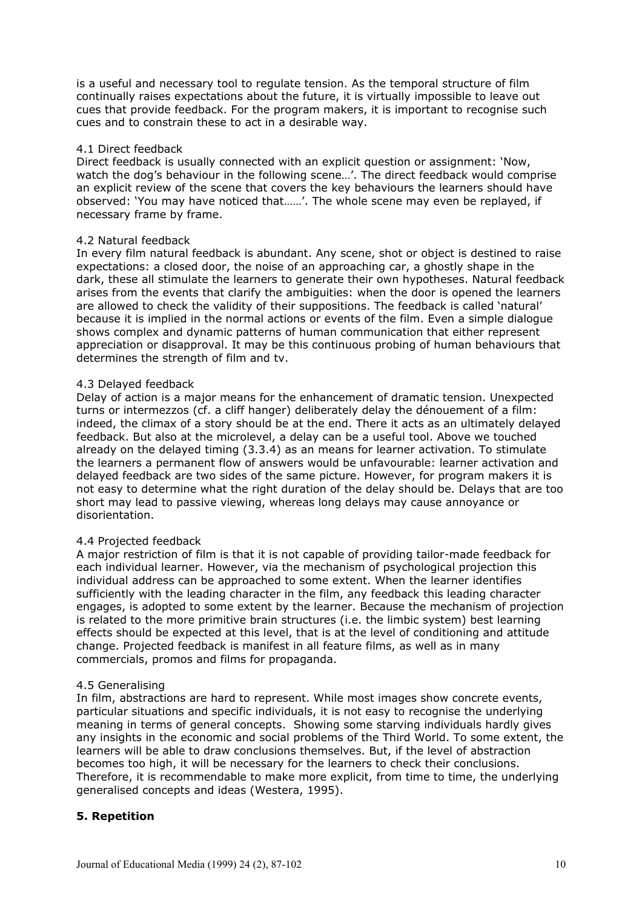is a useful and necessary tool to regulate tension. As the temporal structure of film continually raises expectations about the future, it is virtually impossible to leave out cues that provide feedback. For the program makers, it is important to recognise such cues and to constrain these to act in a desirable way.

### 4.1 Direct feedback

Direct feedback is usually connected with an explicit question or assignment: 'Now, watch the dog's behaviour in the following scene...'. The direct feedback would comprise an explicit review of the scene that covers the key behaviours the learners should have observed: 'You may have noticed that……'. The whole scene may even be replayed, if necessary frame by frame.

### 4.2 Natural feedback

In every film natural feedback is abundant. Any scene, shot or object is destined to raise expectations: a closed door, the noise of an approaching car, a ghostly shape in the dark, these all stimulate the learners to generate their own hypotheses. Natural feedback arises from the events that clarify the ambiguities: when the door is opened the learners are allowed to check the validity of their suppositions. The feedback is called 'natural' because it is implied in the normal actions or events of the film. Even a simple dialogue shows complex and dynamic patterns of human communication that either represent appreciation or disapproval. It may be this continuous probing of human behaviours that determines the strength of film and tv.

# 4.3 Delayed feedback

Delay of action is a major means for the enhancement of dramatic tension. Unexpected turns or intermezzos (cf. a cliff hanger) deliberately delay the dénouement of a film: indeed, the climax of a story should be at the end. There it acts as an ultimately delayed feedback. But also at the microlevel, a delay can be a useful tool. Above we touched already on the delayed timing (3.3.4) as an means for learner activation. To stimulate the learners a permanent flow of answers would be unfavourable: learner activation and delayed feedback are two sides of the same picture. However, for program makers it is not easy to determine what the right duration of the delay should be. Delays that are too short may lead to passive viewing, whereas long delays may cause annoyance or disorientation.

# 4.4 Projected feedback

A major restriction of film is that it is not capable of providing tailor-made feedback for each individual learner. However, via the mechanism of psychological projection this individual address can be approached to some extent. When the learner identifies sufficiently with the leading character in the film, any feedback this leading character engages, is adopted to some extent by the learner. Because the mechanism of projection is related to the more primitive brain structures (i.e. the limbic system) best learning effects should be expected at this level, that is at the level of conditioning and attitude change. Projected feedback is manifest in all feature films, as well as in many commercials, promos and films for propaganda.

# 4.5 Generalising

In film, abstractions are hard to represent. While most images show concrete events, particular situations and specific individuals, it is not easy to recognise the underlying meaning in terms of general concepts. Showing some starving individuals hardly gives any insights in the economic and social problems of the Third World. To some extent, the learners will be able to draw conclusions themselves. But, if the level of abstraction becomes too high, it will be necessary for the learners to check their conclusions. Therefore, it is recommendable to make more explicit, from time to time, the underlying generalised concepts and ideas (Westera, 1995).

# **5. Repetition**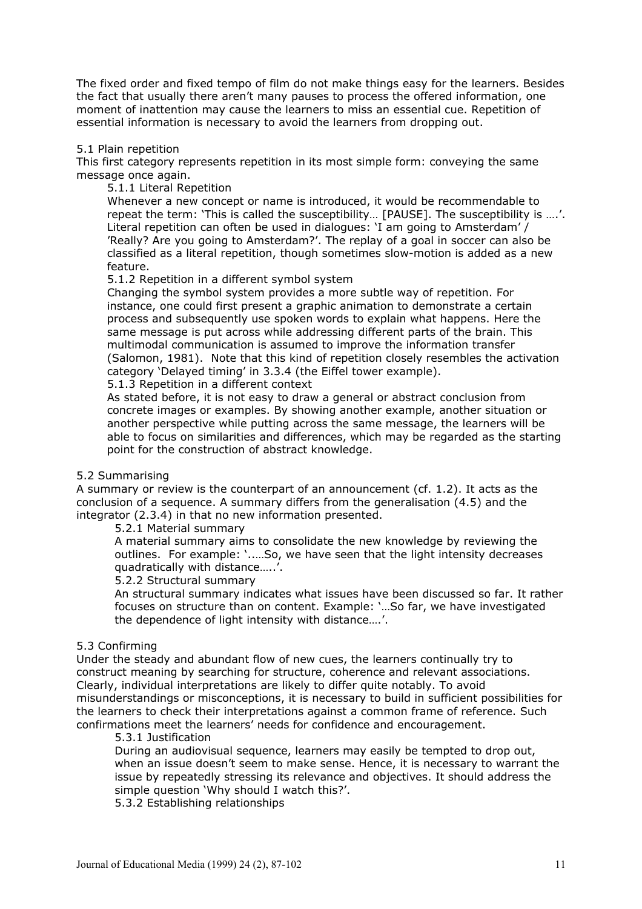The fixed order and fixed tempo of film do not make things easy for the learners. Besides the fact that usually there aren't many pauses to process the offered information, one moment of inattention may cause the learners to miss an essential cue. Repetition of essential information is necessary to avoid the learners from dropping out.

#### 5.1 Plain repetition

This first category represents repetition in its most simple form: conveying the same message once again.

5.1.1 Literal Repetition

Whenever a new concept or name is introduced, it would be recommendable to repeat the term: 'This is called the susceptibility… [PAUSE]. The susceptibility is ….'. Literal repetition can often be used in dialogues: 'I am going to Amsterdam' / 'Really? Are you going to Amsterdam?'. The replay of a goal in soccer can also be classified as a literal repetition, though sometimes slow-motion is added as a new feature.

5.1.2 Repetition in a different symbol system

Changing the symbol system provides a more subtle way of repetition. For instance, one could first present a graphic animation to demonstrate a certain process and subsequently use spoken words to explain what happens. Here the same message is put across while addressing different parts of the brain. This multimodal communication is assumed to improve the information transfer (Salomon, 1981). Note that this kind of repetition closely resembles the activation category 'Delayed timing' in 3.3.4 (the Eiffel tower example).

5.1.3 Repetition in a different context

As stated before, it is not easy to draw a general or abstract conclusion from concrete images or examples. By showing another example, another situation or another perspective while putting across the same message, the learners will be able to focus on similarities and differences, which may be regarded as the starting point for the construction of abstract knowledge.

#### 5.2 Summarising

A summary or review is the counterpart of an announcement (cf. 1.2). It acts as the conclusion of a sequence. A summary differs from the generalisation (4.5) and the integrator (2.3.4) in that no new information presented.

5.2.1 Material summary

A material summary aims to consolidate the new knowledge by reviewing the outlines. For example: '..…So, we have seen that the light intensity decreases quadratically with distance…..'.

#### 5.2.2 Structural summary

An structural summary indicates what issues have been discussed so far. It rather focuses on structure than on content. Example: '…So far, we have investigated the dependence of light intensity with distance….'.

# 5.3 Confirming

Under the steady and abundant flow of new cues, the learners continually try to construct meaning by searching for structure, coherence and relevant associations. Clearly, individual interpretations are likely to differ quite notably. To avoid misunderstandings or misconceptions, it is necessary to build in sufficient possibilities for the learners to check their interpretations against a common frame of reference. Such confirmations meet the learners' needs for confidence and encouragement.

# 5.3.1 Justification

During an audiovisual sequence, learners may easily be tempted to drop out, when an issue doesn't seem to make sense. Hence, it is necessary to warrant the issue by repeatedly stressing its relevance and objectives. It should address the simple question 'Why should I watch this?'.

5.3.2 Establishing relationships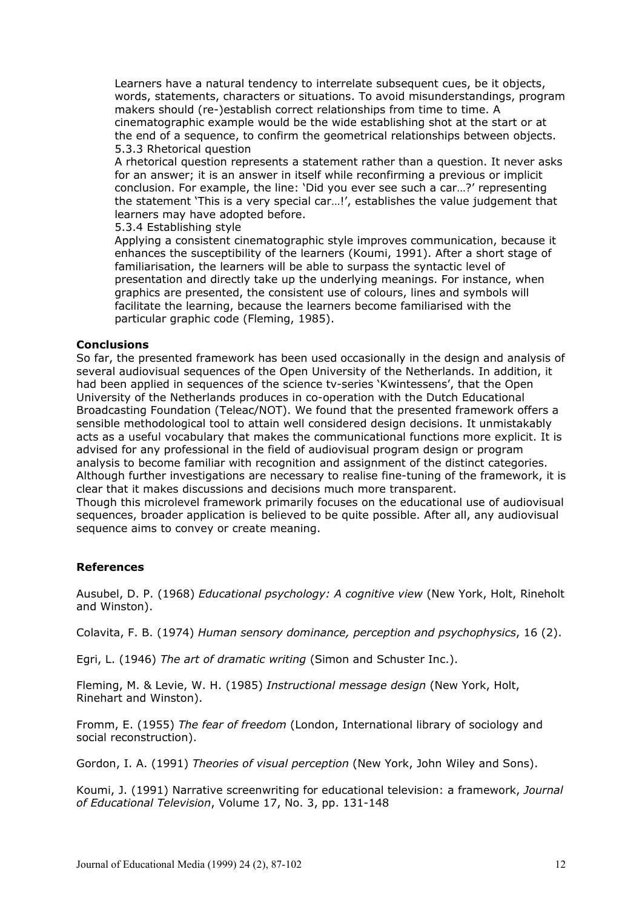Learners have a natural tendency to interrelate subsequent cues, be it objects, words, statements, characters or situations. To avoid misunderstandings, program makers should (re-)establish correct relationships from time to time. A cinematographic example would be the wide establishing shot at the start or at the end of a sequence, to confirm the geometrical relationships between objects. 5.3.3 Rhetorical question

A rhetorical question represents a statement rather than a question. It never asks for an answer; it is an answer in itself while reconfirming a previous or implicit conclusion. For example, the line: 'Did you ever see such a car…?' representing the statement 'This is a very special car…!', establishes the value judgement that learners may have adopted before.

5.3.4 Establishing style

Applying a consistent cinematographic style improves communication, because it enhances the susceptibility of the learners (Koumi, 1991). After a short stage of familiarisation, the learners will be able to surpass the syntactic level of presentation and directly take up the underlying meanings. For instance, when graphics are presented, the consistent use of colours, lines and symbols will facilitate the learning, because the learners become familiarised with the particular graphic code (Fleming, 1985).

### **Conclusions**

So far, the presented framework has been used occasionally in the design and analysis of several audiovisual sequences of the Open University of the Netherlands. In addition, it had been applied in sequences of the science tv-series 'Kwintessens', that the Open University of the Netherlands produces in co-operation with the Dutch Educational Broadcasting Foundation (Teleac/NOT). We found that the presented framework offers a sensible methodological tool to attain well considered design decisions. It unmistakably acts as a useful vocabulary that makes the communicational functions more explicit. It is advised for any professional in the field of audiovisual program design or program analysis to become familiar with recognition and assignment of the distinct categories. Although further investigations are necessary to realise fine-tuning of the framework, it is clear that it makes discussions and decisions much more transparent.

Though this microlevel framework primarily focuses on the educational use of audiovisual sequences, broader application is believed to be quite possible. After all, any audiovisual sequence aims to convey or create meaning.

# **References**

Ausubel, D. P. (1968) *Educational psychology: A cognitive view* (New York, Holt, Rineholt and Winston).

Colavita, F. B. (1974) *Human sensory dominance, perception and psychophysics*, 16 (2).

Egri, L. (1946) *The art of dramatic writing* (Simon and Schuster Inc.).

Fleming, M. & Levie, W. H. (1985) *Instructional message design* (New York, Holt, Rinehart and Winston).

Fromm, E. (1955) *The fear of freedom* (London, International library of sociology and social reconstruction).

Gordon, I. A. (1991) *Theories of visual perception* (New York, John Wiley and Sons).

Koumi, J. (1991) Narrative screenwriting for educational television: a framework, *Journal of Educational Television*, Volume 17, No. 3, pp. 131-148